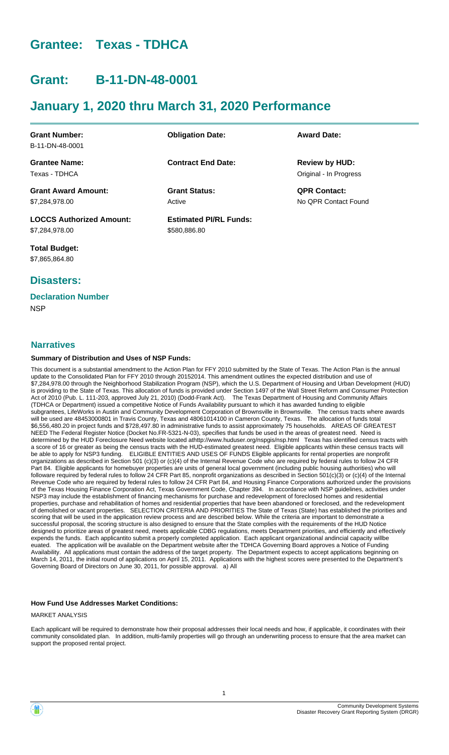# **Grantee: Texas - TDHCA**

# **Grant: B-11-DN-48-0001**

# **January 1, 2020 thru March 31, 2020 Performance**

| <b>Obligation Date:</b>       | <b>Award Date:</b>     |
|-------------------------------|------------------------|
|                               |                        |
| <b>Contract End Date:</b>     | <b>Review by HUD:</b>  |
|                               | Original - In Progress |
| <b>Grant Status:</b>          | <b>QPR Contact:</b>    |
| Active                        | No OPR Contact Found   |
| <b>Estimated PI/RL Funds:</b> |                        |
| \$580,886.80                  |                        |
|                               |                        |

**Total Budget:** \$7,865,864.80

# **Disasters:**

## **Declaration Number**

**NSP** 

### **Narratives**

#### **Summary of Distribution and Uses of NSP Funds:**

This document is a substantial amendment to the Action Plan for FFY 2010 submitted by the State of Texas. The Action Plan is the annual update to the Consolidated Plan for FFY 2010 through 20152014. This amendment outlines the expected distribution and use of \$7,284,978.00 through the Neighborhood Stabilization Program (NSP), which the U.S. Department of Housing and Urban Development (HUD) is providing to the State of Texas. This allocation of funds is provided under Section 1497 of the Wall Street Reform and Consumer Protection Act of 2010 (Pub. L. 111-203, approved July 21, 2010) (Dodd-Frank Act). The Texas Department of Housing and Community Affairs (TDHCA or Department) issued a competitive Notice of Funds Availability pursuant to which it has awarded funding to eligible subgrantees, LifeWorks in Austin and Community Development Corporation of Brownsville in Brownsville. The census tracts where awards will be used are 48453000801 in Travis County, Texas and 48061014100 in Cameron County, Texas. The allocation of funds total \$6,556,480.20 in project funds and \$728,497.80 in administrative funds to assist approximately 75 households. AREAS OF GREATEST NEED The Federal Register Notice (Docket No.FR-5321-N-03), specifies that funds be used in the areas of greatest need. Need is determined by the HUD Foreclosure Need website located athttp://www.huduser.org/nspgis/nsp.html Texas has identified census tracts with a score of 16 or greater as being the census tracts with the HUD-estimated greatest need. Eligible applicants within these census tracts will be able to apply for NSP3 funding. ELIGIBLE ENTITIES AND USES OF FUNDS Eligible applicants for rental properties are nonprofit organizations as described in Section 501 (c)(3) or (c)(4) of the Internal Revenue Code who are required by federal rules to follow 24 CFR Part 84. Eligible applicants for homebuyer properties are units of general local government (including public housing authorities) who will followare required by federal rules to follow 24 CFR Part 85, nonprofit organizations as described in Section 501(c)(3) or (c)(4) of the Internal Revenue Code who are required by federal rules to follow 24 CFR Part 84, and Housing Finance Corporations authorized under the provisions of the Texas Housing Finance Corporation Act, Texas Government Code, Chapter 394. In accordance with NSP guidelines, activities under NSP3 may include the establishment of financing mechanisms for purchase and redevelopment of foreclosed homes and residential properties, purchase and rehabilitation of homes and residential properties that have been abandoned or foreclosed, and the redevelopment of demolished or vacant properties. SELECTION CRITERIA AND PRIORITIES The State of Texas (State) has established the priorities and scoring that will be used in the application review process and are described below. While the criteria are important to demonstrate a successful proposal, the scoring structure is also designed to ensure that the State complies with the requirements of the HUD Notice designed to prioritize areas of greatest need, meets applicable CDBG regulations, meets Department priorities, and efficiently and effectively expends the funds. Each applicantito submit a properly completed application. Each applicant organizational andincial capacity willbe euated. The application will be available on the Department website after the TDHCA Governing Board approves a Notice of Funding Availability. All applications must contain the address of the target property. The Department expects to accept applications beginning on March 14, 2011, the initial round of applications on April 15, 2011. Applications with the highest scores were presented to the Department's Governing Board of Directors on June 30, 2011, for possible approval. a) All

#### **How Fund Use Addresses Market Conditions:**

MARKET ANALYSIS

Each applicant will be required to demonstrate how their proposal addresses their local needs and how, if applicable, it coordinates with their community consolidated plan. In addition, multi-family properties will go through an underwriting process to ensure that the area market can support the proposed rental project.

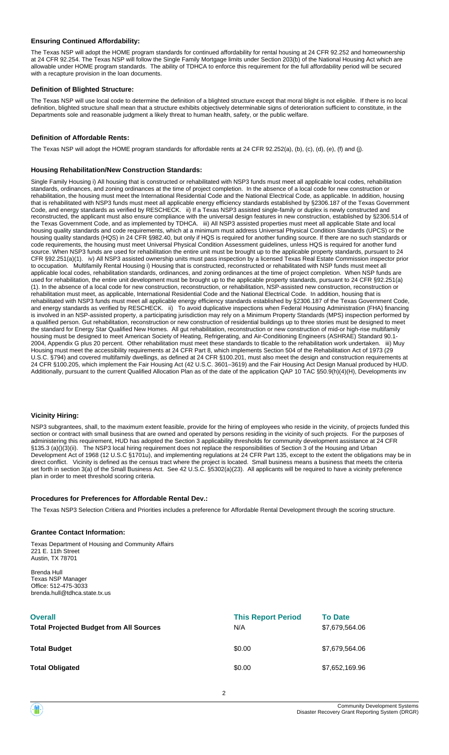#### **Ensuring Continued Affordability:**

The Texas NSP will adopt the HOME program standards for continued affordability for rental housing at 24 CFR 92.252 and homeownership at 24 CFR 92.254. The Texas NSP will follow the Single Family Mortgage limits under Section 203(b) of the National Housing Act which are allowable under HOME program standards. The ability of TDHCA to enforce this requirement for the full affordability period will be secured with a recapture provision in the loan documents.

#### **Definition of Blighted Structure:**

The Texas NSP will use local code to determine the definition of a blighted structure except that moral blight is not eligible. If there is no local definition, blighted structure shall mean that a structure exhibits objectively determinable signs of deterioration sufficient to constitute, in the Departments sole and reasonable judgment a likely threat to human health, safety, or the public welfare.

#### **Definition of Affordable Rents:**

The Texas NSP will adopt the HOME program standards for affordable rents at 24 CFR 92.252(a), (b), (c), (d), (e), (f) and (j).

#### **Housing Rehabilitation/New Construction Standards:**

Single Family Housing i) All housing that is constructed or rehabilitated with NSP3 funds must meet all applicable local codes, rehabilitation standards, ordinances, and zoning ordinances at the time of project completion. In the absence of a local code for new construction or rehabilitation, the housing must meet the International Residential Code and the National Electrical Code, as applicable. In addition, housing that is rehabilitated with NSP3 funds must meet all applicable energy efficiency standards established by §2306.187 of the Texas Government Code, and energy standards as verified by RESCHECK. ii) If a Texas NSP3 assisted single-family or duplex is newly constructed and reconstructed, the applicant must also ensure compliance with the universal design features in new construction, established by §2306.514 of the Texas Government Code, and as implemented by TDHCA. iii) All NSP3 assisted properties must meet all applicable State and local housing quality standards and code requirements, which at a minimum must address Universal Physical Condition Standards (UPCS) or the housing quality standards (HQS) in 24 CFR §982.40, but only if HQS is required for another funding source. If there are no such standards or code requirements, the housing must meet Universal Physical Condition Assessment guidelines, unless HQS is required for another fund source. When NSP3 funds are used for rehabilitation the entire unit must be brought up to the applicable property standards, pursuant to 24 CFR §92.251(a)(1). iv) All NSP3 assisted ownership units must pass inspection by a licensed Texas Real Estate Commission inspector prior to occupation. Multifamily Rental Housing i) Housing that is constructed, reconstructed or rehabilitated with NSP funds must meet all applicable local codes, rehabilitation standards, ordinances, and zoning ordinances at the time of project completion. When NSP funds are used for rehabilitation, the entire unit development must be brought up to the applicable property standards, pursuant to 24 CFR §92.251(a) (1). In the absence of a local code for new construction, reconstruction, or rehabilitation, NSP-assisted new construction, reconstruction or rehabilitation must meet, as applicable, International Residential Code and the National Electrical Code. In addition, housing that is rehabilitated with NSP3 funds must meet all applicable energy efficiency standards established by §2306.187 of the Texas Government Code, and energy standards as verified by RESCHECK. ii) To avoid duplicative inspections when Federal Housing Administration (FHA) financing is involved in an NSP-assisted property, a participating jurisdiction may rely on a Minimum Property Standards (MPS) inspection performed by a qualified person. Gut rehabilitation, reconstruction or new construction of residential buildings up to three stories must be designed to meet the standard for Energy Star Qualified New Homes. All gut rehabilitation, reconstruction or new construction of mid-or high-rise multifamily housing must be designed to meet American Society of Heating, Refrigerating, and Air-Conditioning Engineers (ASHRAE) Standard 90.1- 2004, Appendix G plus 20 percent. Other rehabilitation must meet these standards to tlicable to the rehabilitation work undertaken. iii) Muy Housing must meet the accessibility requirements at 24 CFR Part 8, which implements Section 504 of the Rehabilitation Act of 1973 (29 U.S.C. §794) and covered multifamily dwellings, as defined at 24 CFR §100.201, must also meet the design and construction requirements at 24 CFR §100.205, which implement the Fair Housing Act (42 U.S.C. 3601–3619) and the Fair Housing Act Design Manual produced by HUD. Additionally, pursuant to the current Qualified Allocation Plan as of the date of the application QAP 10 TAC §50.9(h)(4)(H), Developments inv

#### **Vicinity Hiring:**

NSP3 subgrantees, shall, to the maximum extent feasible, provide for the hiring of employees who reside in the vicinity, of projects funded this section or contract with small business that are owned and operated by persons residing in the vicinity of such projects. For the purposes of administering this requirement, HUD has adopted the Section 3 applicability thresholds for community development assistance at 24 CFR §135.3 (a)()(3)(ii). The NSP3 local hiring requirement does not replace the responsibilities of Section 3 of the Housing and Urban Development Act of 1968 (12 U.S.C §1701u), and implementing regulations at 24 CFR Part 135, except to the extent the obligations may be in direct conflict. Vicinity is defined as the census tract where the project is located. Small business means a business that meets the criteria set forth in section 3(a) of the Small Business Act. See 42 U.S.C. §5302(a)(23). All applicants will be required to have a vicinity preference plan in order to meet threshold scoring criteria.

#### **Procedures for Preferences for Affordable Rental Dev.:**

The Texas NSP3 Selection Critiera and Priorities includes a preference for Affordable Rental Development through the scoring structure.

#### **Grantee Contact Information:**

Texas Department of Housing and Community Affairs 221 E. 11th Street Austin, TX 78701

Brenda Hull Texas NSP Manager Office: 512-475-3033 brenda.hull@tdhca.state.tx.us

| <b>Overall</b><br><b>Total Projected Budget from All Sources</b> | <b>This Report Period</b><br>N/A | <b>To Date</b><br>\$7,679,564.06 |
|------------------------------------------------------------------|----------------------------------|----------------------------------|
| <b>Total Budget</b>                                              | \$0.00                           | \$7,679,564.06                   |
| <b>Total Obligated</b>                                           | \$0.00                           | \$7,652,169.96                   |

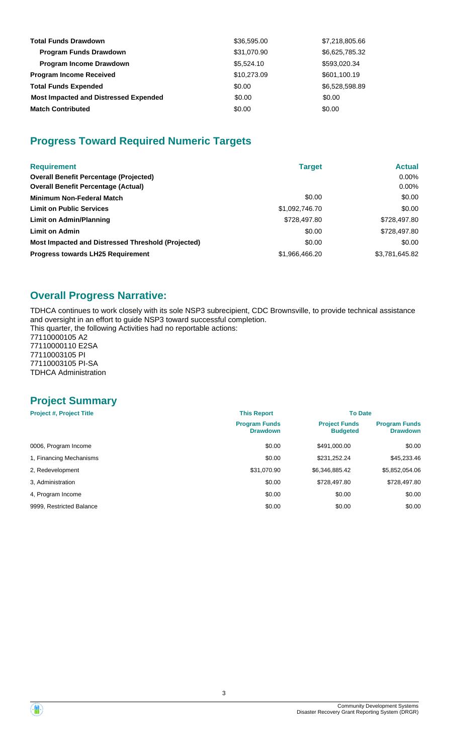| <b>Total Funds Drawdown</b>                  | \$36,595.00 | \$7,218,805.66 |
|----------------------------------------------|-------------|----------------|
| <b>Program Funds Drawdown</b>                | \$31,070.90 | \$6,625,785.32 |
| <b>Program Income Drawdown</b>               | \$5,524.10  | \$593,020.34   |
| <b>Program Income Received</b>               | \$10,273.09 | \$601,100.19   |
| <b>Total Funds Expended</b>                  | \$0.00      | \$6,528,598.89 |
| <b>Most Impacted and Distressed Expended</b> | \$0.00      | \$0.00         |
| <b>Match Contributed</b>                     | \$0.00      | \$0.00         |

# **Progress Toward Required Numeric Targets**

| <b>Requirement</b>                                 | <b>Target</b>  | <b>Actual</b>  |
|----------------------------------------------------|----------------|----------------|
| <b>Overall Benefit Percentage (Projected)</b>      |                | $0.00\%$       |
| <b>Overall Benefit Percentage (Actual)</b>         |                | $0.00\%$       |
| <b>Minimum Non-Federal Match</b>                   | \$0.00         | \$0.00         |
| <b>Limit on Public Services</b>                    | \$1,092,746.70 | \$0.00         |
| Limit on Admin/Planning                            | \$728,497.80   | \$728,497.80   |
| <b>Limit on Admin</b>                              | \$0.00         | \$728,497.80   |
| Most Impacted and Distressed Threshold (Projected) | \$0.00         | \$0.00         |
| <b>Progress towards LH25 Requirement</b>           | \$1,966,466.20 | \$3,781,645.82 |

# **Overall Progress Narrative:**

TDHCA continues to work closely with its sole NSP3 subrecipient, CDC Brownsville, to provide technical assistance and oversight in an effort to guide NSP3 toward successful completion.

This quarter, the following Activities had no reportable actions: 77110000105 A2

77110000110 E2SA 77110003105 PI 77110003105 PI-SA TDHCA Administration

# **Project Summary**

| <b>Project #, Project Title</b> | <b>This Report</b>                      | <b>To Date</b>                          |                                         |  |
|---------------------------------|-----------------------------------------|-----------------------------------------|-----------------------------------------|--|
|                                 | <b>Program Funds</b><br><b>Drawdown</b> | <b>Project Funds</b><br><b>Budgeted</b> | <b>Program Funds</b><br><b>Drawdown</b> |  |
| 0006, Program Income            | \$0.00                                  | \$491,000.00                            | \$0.00                                  |  |
| 1, Financing Mechanisms         | \$0.00                                  | \$231,252.24                            | \$45,233.46                             |  |
| 2, Redevelopment                | \$31,070.90                             | \$6,346,885.42                          | \$5,852,054.06                          |  |
| 3. Administration               | \$0.00                                  | \$728,497.80                            | \$728,497.80                            |  |
| 4, Program Income               | \$0.00                                  | \$0.00                                  | \$0.00                                  |  |
| 9999, Restricted Balance        | \$0.00                                  | \$0.00                                  | \$0.00                                  |  |

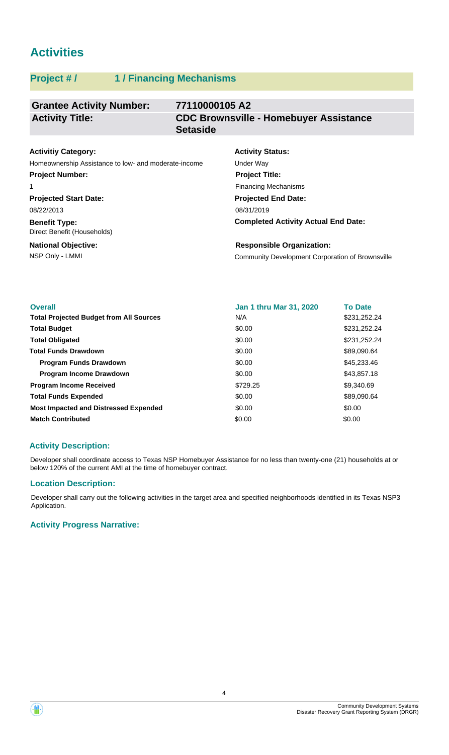# **Activities**

## **Project # / 1 / Financing Mechanisms**

#### **Grantee Activity Number: 77110000105 A2 CDC Brownsville - Homebuyer Assistance Setaside Activity Title:**

## **Activitiy Category:**

Homeownership Assistance to low- and moderate-income Under Way **Project Number:**

#### 1

**Projected Start Date:** 08/22/2013

**Benefit Type:** Direct Benefit (Households)

#### **National Objective:**

# **Activity Status: Projected End Date: Project Title:** Financing Mechanisms

08/31/2019

**Completed Activity Actual End Date:**

NSP Only - LMMI Community Development Corporation of Brownsville **Responsible Organization:**

| <b>Overall</b>                                 | Jan 1 thru Mar 31, 2020 | <b>To Date</b> |
|------------------------------------------------|-------------------------|----------------|
| <b>Total Projected Budget from All Sources</b> | N/A                     | \$231,252.24   |
| <b>Total Budget</b>                            | \$0.00                  | \$231,252.24   |
| <b>Total Obligated</b>                         | \$0.00                  | \$231,252.24   |
| <b>Total Funds Drawdown</b>                    | \$0.00                  | \$89,090.64    |
| <b>Program Funds Drawdown</b>                  | \$0.00                  | \$45,233.46    |
| <b>Program Income Drawdown</b>                 | \$0.00                  | \$43,857.18    |
| <b>Program Income Received</b>                 | \$729.25                | \$9,340.69     |
| <b>Total Funds Expended</b>                    | \$0.00                  | \$89,090.64    |
| <b>Most Impacted and Distressed Expended</b>   | \$0.00                  | \$0.00         |
| <b>Match Contributed</b>                       | \$0.00                  | \$0.00         |

## **Activity Description:**

Developer shall coordinate access to Texas NSP Homebuyer Assistance for no less than twenty-one (21) households at or below 120% of the current AMI at the time of homebuyer contract.

## **Location Description:**

Developer shall carry out the following activities in the target area and specified neighborhoods identified in its Texas NSP3 Application.

## **Activity Progress Narrative:**

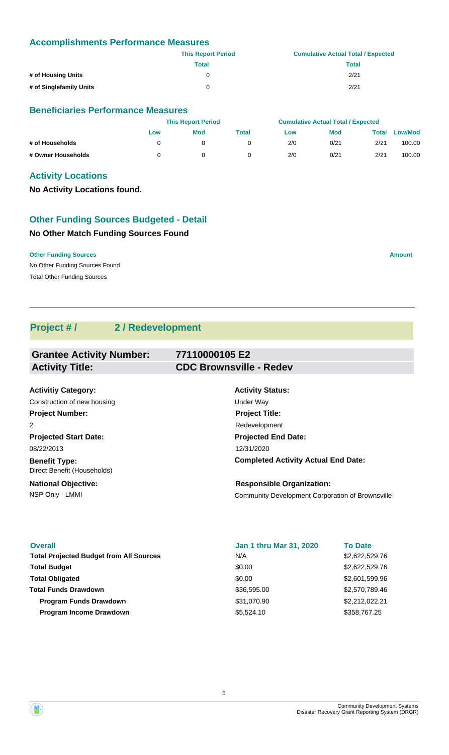### **Accomplishments Performance Measures**

|                         | <b>This Report Period</b> | <b>Cumulative Actual Total / Expected</b> |
|-------------------------|---------------------------|-------------------------------------------|
|                         | Total                     | Total                                     |
| # of Housing Units      | 0                         | 2/21                                      |
| # of Singlefamily Units | 0                         | 2/21                                      |

#### **Beneficiaries Performance Measures**

|                    |     | <b>This Report Period</b> |       |     | <b>Cumulative Actual Total / Expected</b> |       |                |  |
|--------------------|-----|---------------------------|-------|-----|-------------------------------------------|-------|----------------|--|
|                    | Low | <b>Mod</b>                | Total | Low | <b>Mod</b>                                | Total | <b>Low/Mod</b> |  |
| # of Households    |     |                           |       | 2/0 | 0/21                                      | 2/21  | 100.00         |  |
| # Owner Households |     |                           |       | 2/0 | 0/21                                      | 2/21  | 100.00         |  |

## **Activity Locations**

**No Activity Locations found.**

# **Other Funding Sources Budgeted - Detail**

## **No Other Match Funding Sources Found**

**Other Funding Sources Amount Amount Amount Amount Amount Amount Amount** 

No Other Funding Sources Found Total Other Funding Sources

# **Project # / 2 / Redevelopment**

| <b>Grantee Activity Number:</b> | 77110000105 E2                             |
|---------------------------------|--------------------------------------------|
| <b>Activity Title:</b>          | <b>CDC Brownsville - Redev</b>             |
|                                 |                                            |
| <b>Activitiy Category:</b>      | <b>Activity Status:</b>                    |
| Construction of new housing     | Under Way                                  |
| <b>Project Number:</b>          | <b>Project Title:</b>                      |
| 2                               | Redevelopment                              |
| <b>Projected Start Date:</b>    | <b>Projected End Date:</b>                 |
| 08/22/2013                      | 12/31/2020                                 |
| <b>Benefit Type:</b>            | <b>Completed Activity Actual End Date:</b> |

**National Objective:** Direct Benefit (Households)

#### NSP Only - LMMI Community Development Corporation of Brownsville **Responsible Organization:**

**Overall** \$2,622,529.76 Total Projected Budget from All Sources **\$2,622,529.76** N/A \$0.00 \$2,601,599.96 **Total Budget Program Income Drawdown Total Funds Drawdown Total Obligated** \$36,595.00 \$5,524.10 **Jan 1 thru Mar 31, 2020** \$358,767.25 N/A \$0.00 **To Date** \$2,570,789.46 **Program Funds Drawdown 82,212,022.21** \$31,070.90 \$2,212,022.21

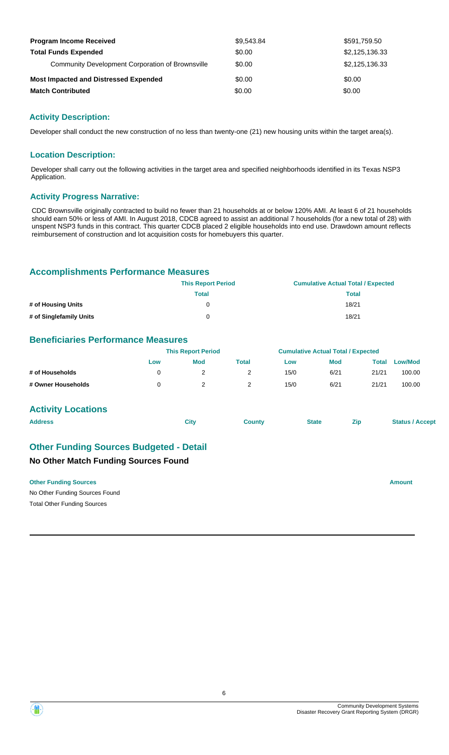| <b>Program Income Received</b>                          | \$9,543.84 | \$591,759.50   |
|---------------------------------------------------------|------------|----------------|
| <b>Total Funds Expended</b>                             | \$0.00     | \$2,125,136.33 |
| <b>Community Development Corporation of Brownsville</b> | \$0.00     | \$2,125,136.33 |
| <b>Most Impacted and Distressed Expended</b>            | \$0.00     | \$0.00         |
| <b>Match Contributed</b>                                | \$0.00     | \$0.00         |

#### **Activity Description:**

Developer shall conduct the new construction of no less than twenty-one (21) new housing units within the target area(s).

#### **Location Description:**

Developer shall carry out the following activities in the target area and specified neighborhoods identified in its Texas NSP3 Application.

#### **Activity Progress Narrative:**

CDC Brownsville originally contracted to build no fewer than 21 households at or below 120% AMI. At least 6 of 21 households should earn 50% or less of AMI. In August 2018, CDCB agreed to assist an additional 7 households (for a new total of 28) with unspent NSP3 funds in this contract. This quarter CDCB placed 2 eligible households into end use. Drawdown amount reflects reimbursement of construction and lot acquisition costs for homebuyers this quarter.

#### **Accomplishments Performance Measures**

|                         | <b>This Report Period</b> | <b>Cumulative Actual Total / Expected</b> |
|-------------------------|---------------------------|-------------------------------------------|
|                         | Total                     | Total                                     |
| # of Housing Units      |                           | 18/21                                     |
| # of Singlefamily Units |                           | 18/21                                     |

### **Beneficiaries Performance Measures**

|                    | <b>This Report Period</b> |     |       | <b>Cumulative Actual Total / Expected</b> |            |       |                |  |
|--------------------|---------------------------|-----|-------|-------------------------------------------|------------|-------|----------------|--|
|                    | Low                       | Mod | Total | Low                                       | <b>Mod</b> | Total | <b>Low/Mod</b> |  |
| # of Households    |                           |     |       | 15/0                                      | 6/21       | 21/21 | 100.00         |  |
| # Owner Households |                           |     |       | 15/0                                      | 6/21       | 21/21 | 100.00         |  |

#### **Activity Locations**

| <b>Address</b> | <b>City</b> | County | <b>State</b> | Zip | <b>Status / Accept</b> |
|----------------|-------------|--------|--------------|-----|------------------------|
|                |             |        |              |     |                        |

## **Other Funding Sources Budgeted - Detail**

### **No Other Match Funding Sources Found**

**Other Funding Sources Amount** 

No Other Funding Sources Found Total Other Funding Sources

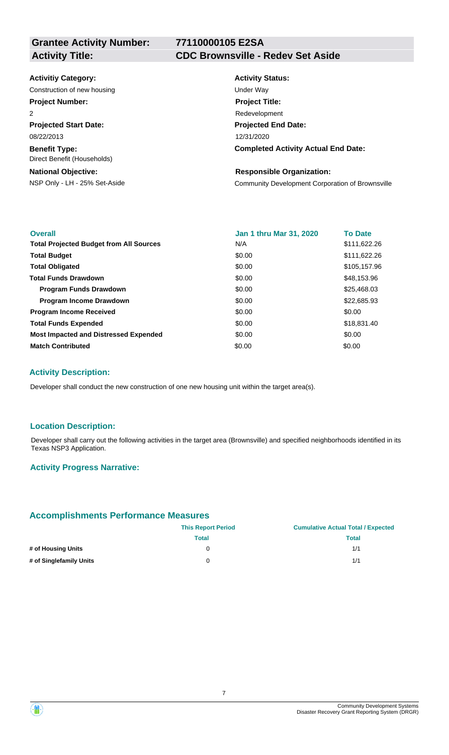**Grantee Activity Number:**

# **77110000105 E2SA**

## **Activity Title: CDC Brownsville - Redev Set Aside**

#### **Activitiy Category:**

Construction of new housing Theorem 2012 Construction of the Way

## **Project Number:**

2

**Projected Start Date:** 08/22/2013

**Benefit Type:** Direct Benefit (Households)

#### **National Objective:**

# **Activity Status: Projected End Date: Completed Activity Actual End Date:** 12/31/2020 **Project Title:** Redevelopment

#### **Responsible Organization:**

NSP Only - LH - 25% Set-Aside Community Development Corporation of Brownsville

| <b>Overall</b>                                 | <b>Jan 1 thru Mar 31, 2020</b> | <b>To Date</b> |
|------------------------------------------------|--------------------------------|----------------|
| <b>Total Projected Budget from All Sources</b> | N/A                            | \$111,622.26   |
| <b>Total Budget</b>                            | \$0.00                         | \$111,622.26   |
| <b>Total Obligated</b>                         | \$0.00                         | \$105,157.96   |
| <b>Total Funds Drawdown</b>                    | \$0.00                         | \$48,153.96    |
| <b>Program Funds Drawdown</b>                  | \$0.00                         | \$25,468.03    |
| <b>Program Income Drawdown</b>                 | \$0.00                         | \$22,685.93    |
| <b>Program Income Received</b>                 | \$0.00                         | \$0.00         |
| <b>Total Funds Expended</b>                    | \$0.00                         | \$18,831.40    |
| <b>Most Impacted and Distressed Expended</b>   | \$0.00                         | \$0.00         |
| <b>Match Contributed</b>                       | \$0.00                         | \$0.00         |

## **Activity Description:**

Developer shall conduct the new construction of one new housing unit within the target area(s).

#### **Location Description:**

Developer shall carry out the following activities in the target area (Brownsville) and specified neighborhoods identified in its Texas NSP3 Application.

#### **Activity Progress Narrative:**

## **Accomplishments Performance Measures**

|                         | <b>This Report Period</b> | <b>Cumulative Actual Total / Expected</b> |  |  |
|-------------------------|---------------------------|-------------------------------------------|--|--|
|                         | Total                     | Total                                     |  |  |
| # of Housing Units      |                           | 1/1                                       |  |  |
| # of Singlefamily Units | 0                         | 1/1                                       |  |  |